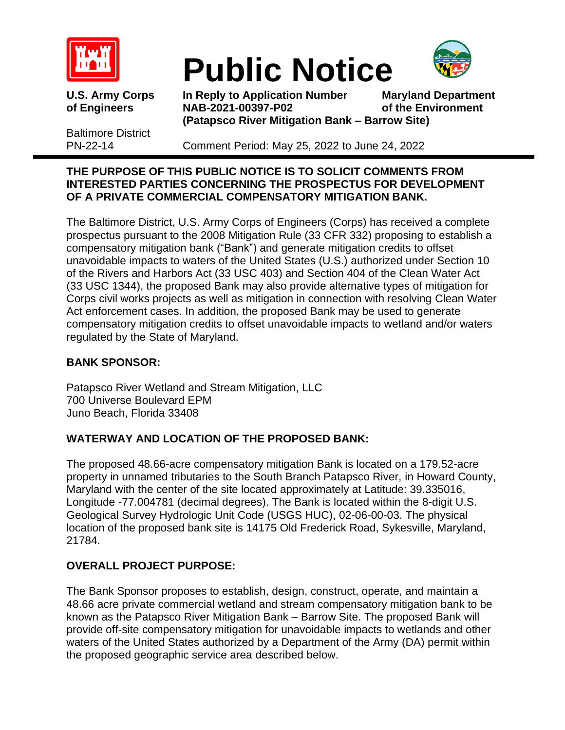

# **Public Notice**



Baltimore District

**U.S. Army Corps In Reply to Application Number Maryland Department of Engineers NAB-2021-00397-P02 of the Environment (Patapsco River Mitigation Bank – Barrow Site)**

PN-22-14 Comment Period: May 25, 2022 to June 24, 2022

## **THE PURPOSE OF THIS PUBLIC NOTICE IS TO SOLICIT COMMENTS FROM INTERESTED PARTIES CONCERNING THE PROSPECTUS FOR DEVELOPMENT OF A PRIVATE COMMERCIAL COMPENSATORY MITIGATION BANK.**

The Baltimore District, U.S. Army Corps of Engineers (Corps) has received a complete prospectus pursuant to the 2008 Mitigation Rule (33 CFR 332) proposing to establish a compensatory mitigation bank ("Bank") and generate mitigation credits to offset unavoidable impacts to waters of the United States (U.S.) authorized under Section 10 of the Rivers and Harbors Act (33 USC 403) and Section 404 of the Clean Water Act (33 USC 1344), the proposed Bank may also provide alternative types of mitigation for Corps civil works projects as well as mitigation in connection with resolving Clean Water Act enforcement cases. In addition, the proposed Bank may be used to generate compensatory mitigation credits to offset unavoidable impacts to wetland and/or waters regulated by the State of Maryland.

# **BANK SPONSOR:**

Patapsco River Wetland and Stream Mitigation, LLC 700 Universe Boulevard EPM Juno Beach, Florida 33408

# **WATERWAY AND LOCATION OF THE PROPOSED BANK:**

The proposed 48.66-acre compensatory mitigation Bank is located on a 179.52-acre property in unnamed tributaries to the South Branch Patapsco River, in Howard County, Maryland with the center of the site located approximately at Latitude: 39.335016, Longitude -77.004781 (decimal degrees). The Bank is located within the 8-digit U.S. Geological Survey Hydrologic Unit Code (USGS HUC), 02-06-00-03. The physical location of the proposed bank site is 14175 Old Frederick Road, Sykesville, Maryland, 21784.

# **OVERALL PROJECT PURPOSE:**

The Bank Sponsor proposes to establish, design, construct, operate, and maintain a 48.66 acre private commercial wetland and stream compensatory mitigation bank to be known as the Patapsco River Mitigation Bank – Barrow Site. The proposed Bank will provide off-site compensatory mitigation for unavoidable impacts to wetlands and other waters of the United States authorized by a Department of the Army (DA) permit within the proposed geographic service area described below.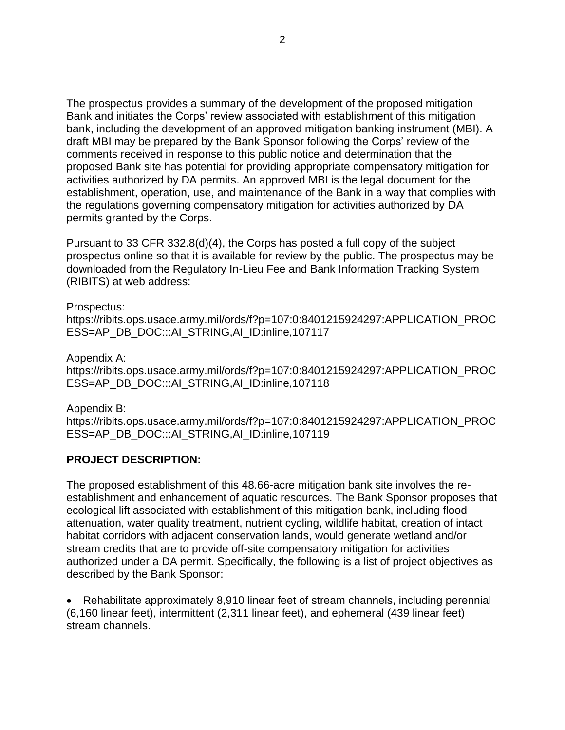The prospectus provides a summary of the development of the proposed mitigation Bank and initiates the Corps' review associated with establishment of this mitigation bank, including the development of an approved mitigation banking instrument (MBI). A draft MBI may be prepared by the Bank Sponsor following the Corps' review of the comments received in response to this public notice and determination that the proposed Bank site has potential for providing appropriate compensatory mitigation for activities authorized by DA permits. An approved MBI is the legal document for the establishment, operation, use, and maintenance of the Bank in a way that complies with the regulations governing compensatory mitigation for activities authorized by DA permits granted by the Corps.

Pursuant to 33 CFR 332.8(d)(4), the Corps has posted a full copy of the subject prospectus online so that it is available for review by the public. The prospectus may be downloaded from the Regulatory In-Lieu Fee and Bank Information Tracking System (RIBITS) at web address:

Prospectus: https://ribits.ops.usace.army.mil/ords/f?p=107:0:8401215924297:APPLICATION\_PROC ESS=AP\_DB\_DOC:::AI\_STRING,AI\_ID:inline,107117

Appendix A: https://ribits.ops.usace.army.mil/ords/f?p=107:0:8401215924297:APPLICATION\_PROC ESS=AP\_DB\_DOC:::AI\_STRING,AI\_ID:inline,107118

Appendix B: https://ribits.ops.usace.army.mil/ords/f?p=107:0:8401215924297:APPLICATION\_PROC ESS=AP\_DB\_DOC:::AI\_STRING,AI\_ID:inline,107119

#### **PROJECT DESCRIPTION:**

The proposed establishment of this 48.66-acre mitigation bank site involves the reestablishment and enhancement of aquatic resources. The Bank Sponsor proposes that ecological lift associated with establishment of this mitigation bank, including flood attenuation, water quality treatment, nutrient cycling, wildlife habitat, creation of intact habitat corridors with adjacent conservation lands, would generate wetland and/or stream credits that are to provide off-site compensatory mitigation for activities authorized under a DA permit. Specifically, the following is a list of project objectives as described by the Bank Sponsor:

• Rehabilitate approximately 8,910 linear feet of stream channels, including perennial (6,160 linear feet), intermittent (2,311 linear feet), and ephemeral (439 linear feet) stream channels.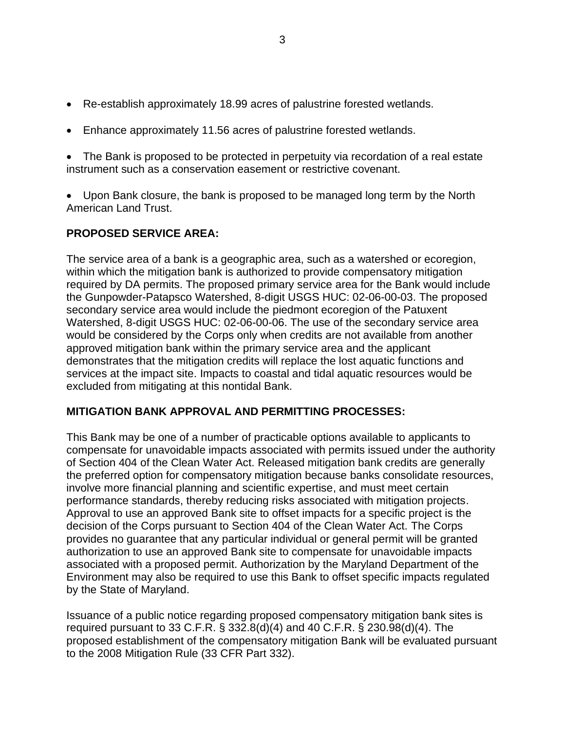- Re-establish approximately 18.99 acres of palustrine forested wetlands.
- Enhance approximately 11.56 acres of palustrine forested wetlands.

• The Bank is proposed to be protected in perpetuity via recordation of a real estate instrument such as a conservation easement or restrictive covenant.

• Upon Bank closure, the bank is proposed to be managed long term by the North American Land Trust.

## **PROPOSED SERVICE AREA:**

The service area of a bank is a geographic area, such as a watershed or ecoregion, within which the mitigation bank is authorized to provide compensatory mitigation required by DA permits. The proposed primary service area for the Bank would include the Gunpowder-Patapsco Watershed, 8-digit USGS HUC: 02-06-00-03. The proposed secondary service area would include the piedmont ecoregion of the Patuxent Watershed, 8-digit USGS HUC: 02-06-00-06. The use of the secondary service area would be considered by the Corps only when credits are not available from another approved mitigation bank within the primary service area and the applicant demonstrates that the mitigation credits will replace the lost aquatic functions and services at the impact site. Impacts to coastal and tidal aquatic resources would be excluded from mitigating at this nontidal Bank.

#### **MITIGATION BANK APPROVAL AND PERMITTING PROCESSES:**

This Bank may be one of a number of practicable options available to applicants to compensate for unavoidable impacts associated with permits issued under the authority of Section 404 of the Clean Water Act. Released mitigation bank credits are generally the preferred option for compensatory mitigation because banks consolidate resources, involve more financial planning and scientific expertise, and must meet certain performance standards, thereby reducing risks associated with mitigation projects. Approval to use an approved Bank site to offset impacts for a specific project is the decision of the Corps pursuant to Section 404 of the Clean Water Act. The Corps provides no guarantee that any particular individual or general permit will be granted authorization to use an approved Bank site to compensate for unavoidable impacts associated with a proposed permit. Authorization by the Maryland Department of the Environment may also be required to use this Bank to offset specific impacts regulated by the State of Maryland.

Issuance of a public notice regarding proposed compensatory mitigation bank sites is required pursuant to 33 C.F.R. § 332.8(d)(4) and 40 C.F.R. § 230.98(d)(4). The proposed establishment of the compensatory mitigation Bank will be evaluated pursuant to the 2008 Mitigation Rule (33 CFR Part 332).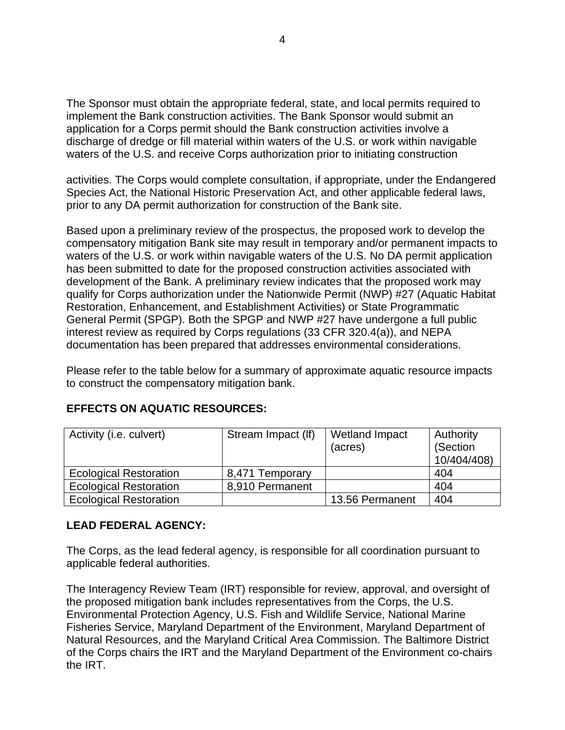The Sponsor must obtain the appropriate federal, state, and local permits required to implement the Bank construction activities. The Bank Sponsor would submit an application for a Corps permit should the Bank construction activities involve a discharge of dredge or fill material within waters of the U.S. or work within navigable waters of the U.S. and receive Corps authorization prior to initiating construction

activities. The Corps would complete consultation, if appropriate, under the Endangered Species Act, the National Historic Preservation Act, and other applicable federal laws, prior to any DA permit authorization for construction of the Bank site.

Based upon a preliminary review of the prospectus, the proposed work to develop the compensatory mitigation Bank site may result in temporary and/or permanent impacts to waters of the U.S. or work within navigable waters of the U.S. No DA permit application has been submitted to date for the proposed construction activities associated with development of the Bank. A preliminary review indicates that the proposed work may qualify for Corps authorization under the Nationwide Permit (NWP) #27 (Aquatic Habitat Restoration, Enhancement, and Establishment Activities) or State Programmatic General Permit (SPGP). Both the SPGP and NWP #27 have undergone a full public interest review as required by Corps regulations (33 CFR 320.4(a)), and NEPA documentation has been prepared that addresses environmental considerations.

Please refer to the table below for a summary of approximate aquatic resource impacts to construct the compensatory mitigation bank.

| Activity (i.e. culvert)       | Stream Impact (If) | <b>Wetland Impact</b><br>(acres) | Authority<br>(Section<br>10/404/408) |
|-------------------------------|--------------------|----------------------------------|--------------------------------------|
| <b>Ecological Restoration</b> | 8,471 Temporary    |                                  | 404                                  |
| <b>Ecological Restoration</b> | 8,910 Permanent    |                                  | 404                                  |
| <b>Ecological Restoration</b> |                    | 13.56 Permanent                  | 404                                  |

## **EFFECTS ON AQUATIC RESOURCES:**

#### **LEAD FEDERAL AGENCY:**

The Corps, as the lead federal agency, is responsible for all coordination pursuant to applicable federal authorities.

The Interagency Review Team (IRT) responsible for review, approval, and oversight of the proposed mitigation bank includes representatives from the Corps, the U.S. Environmental Protection Agency, U.S. Fish and Wildlife Service, National Marine Fisheries Service, Maryland Department of the Environment, Maryland Department of Natural Resources, and the Maryland Critical Area Commission. The Baltimore District of the Corps chairs the IRT and the Maryland Department of the Environment co-chairs the IRT.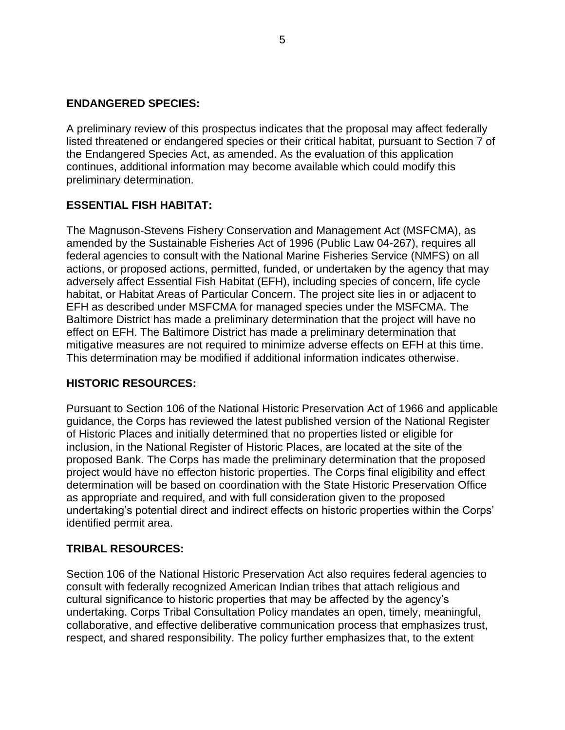#### **ENDANGERED SPECIES:**

A preliminary review of this prospectus indicates that the proposal may affect federally listed threatened or endangered species or their critical habitat, pursuant to Section 7 of the Endangered Species Act, as amended. As the evaluation of this application continues, additional information may become available which could modify this preliminary determination.

#### **ESSENTIAL FISH HABITAT:**

The Magnuson-Stevens Fishery Conservation and Management Act (MSFCMA), as amended by the Sustainable Fisheries Act of 1996 (Public Law 04-267), requires all federal agencies to consult with the National Marine Fisheries Service (NMFS) on all actions, or proposed actions, permitted, funded, or undertaken by the agency that may adversely affect Essential Fish Habitat (EFH), including species of concern, life cycle habitat, or Habitat Areas of Particular Concern. The project site lies in or adjacent to EFH as described under MSFCMA for managed species under the MSFCMA. The Baltimore District has made a preliminary determination that the project will have no effect on EFH. The Baltimore District has made a preliminary determination that mitigative measures are not required to minimize adverse effects on EFH at this time. This determination may be modified if additional information indicates otherwise.

#### **HISTORIC RESOURCES:**

Pursuant to Section 106 of the National Historic Preservation Act of 1966 and applicable guidance, the Corps has reviewed the latest published version of the National Register of Historic Places and initially determined that no properties listed or eligible for inclusion, in the National Register of Historic Places, are located at the site of the proposed Bank. The Corps has made the preliminary determination that the proposed project would have no effecton historic properties. The Corps final eligibility and effect determination will be based on coordination with the State Historic Preservation Office as appropriate and required, and with full consideration given to the proposed undertaking's potential direct and indirect effects on historic properties within the Corps' identified permit area.

#### **TRIBAL RESOURCES:**

Section 106 of the National Historic Preservation Act also requires federal agencies to consult with federally recognized American Indian tribes that attach religious and cultural significance to historic properties that may be affected by the agency's undertaking. Corps Tribal Consultation Policy mandates an open, timely, meaningful, collaborative, and effective deliberative communication process that emphasizes trust, respect, and shared responsibility. The policy further emphasizes that, to the extent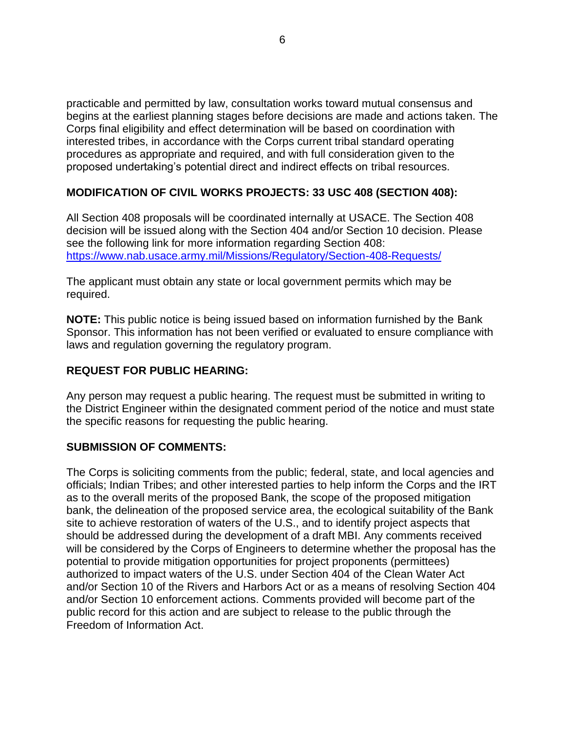practicable and permitted by law, consultation works toward mutual consensus and begins at the earliest planning stages before decisions are made and actions taken. The Corps final eligibility and effect determination will be based on coordination with interested tribes, in accordance with the Corps current tribal standard operating procedures as appropriate and required, and with full consideration given to the proposed undertaking's potential direct and indirect effects on tribal resources.

# **MODIFICATION OF CIVIL WORKS PROJECTS: 33 USC 408 (SECTION 408):**

All Section 408 proposals will be coordinated internally at USACE. The Section 408 decision will be issued along with the Section 404 and/or Section 10 decision. Please see the following link for more information regarding Section 408: <https://www.nab.usace.army.mil/Missions/Regulatory/Section-408-Requests/>

The applicant must obtain any state or local government permits which may be required.

**NOTE:** This public notice is being issued based on information furnished by the Bank Sponsor. This information has not been verified or evaluated to ensure compliance with laws and regulation governing the regulatory program.

## **REQUEST FOR PUBLIC HEARING:**

Any person may request a public hearing. The request must be submitted in writing to the District Engineer within the designated comment period of the notice and must state the specific reasons for requesting the public hearing.

## **SUBMISSION OF COMMENTS:**

The Corps is soliciting comments from the public; federal, state, and local agencies and officials; Indian Tribes; and other interested parties to help inform the Corps and the IRT as to the overall merits of the proposed Bank, the scope of the proposed mitigation bank, the delineation of the proposed service area, the ecological suitability of the Bank site to achieve restoration of waters of the U.S., and to identify project aspects that should be addressed during the development of a draft MBI. Any comments received will be considered by the Corps of Engineers to determine whether the proposal has the potential to provide mitigation opportunities for project proponents (permittees) authorized to impact waters of the U.S. under Section 404 of the Clean Water Act and/or Section 10 of the Rivers and Harbors Act or as a means of resolving Section 404 and/or Section 10 enforcement actions. Comments provided will become part of the public record for this action and are subject to release to the public through the Freedom of Information Act.